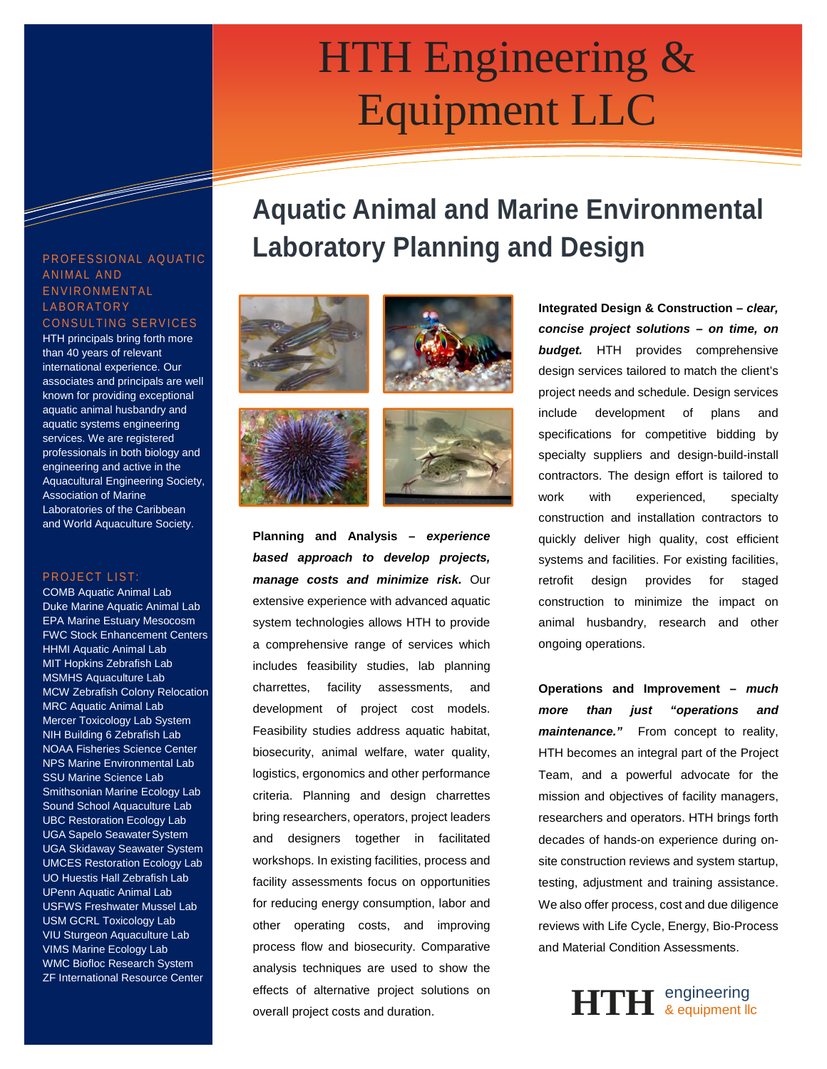# **INTH Engineering &** Equipment LLC

# **Aquatic Animal and Marine Environmental Laboratory Planning and Design**









**Planning and Analysis –** *experience based approach to develop projects, manage costs and minimize risk.* Our extensive experience with advanced aquatic system technologies allows HTH to provide a comprehensive range of services which includes feasibility studies, lab planning charrettes, facility assessments, and development of project cost models. Feasibility studies address aquatic habitat, biosecurity, animal welfare, water quality, logistics, ergonomics and other performance criteria. Planning and design charrettes bring researchers, operators, project leaders and designers together in facilitated workshops. In existing facilities, process and facility assessments focus on opportunities for reducing energy consumption, labor and other operating costs, and improving process flow and biosecurity. Comparative analysis techniques are used to show the effects of alternative project solutions on overall project costs and duration.

**Integrated Design & Construction –** *clear, concise project solutions – on time, on budget.* HTH provides comprehensive design services tailored to match the client's project needs and schedule. Design services include development of plans and specifications for competitive bidding by specialty suppliers and design-build-install contractors. The design effort is tailored to work with experienced, specialty construction and installation contractors to quickly deliver high quality, cost efficient systems and facilities. For existing facilities, retrofit design provides for staged construction to minimize the impact on animal husbandry, research and other ongoing operations.

**Operations and Improvement –** *much more than just "operations and maintenance."* From concept to reality, HTH becomes an integral part of the Project Team, and a powerful advocate for the mission and objectives of facility managers, researchers and operators. HTH brings forth decades of hands-on experience during onsite construction reviews and system startup, testing, adjustment and training assistance. We also offer process, cost and due diligence reviews with Life Cycle, Energy, Bio-Process and Material Condition Assessments.



### PROFESSIONAL AQUATIC ANIMAL AND E N V I R O N M E N T A L **LABORATORY**

and the company of the company of the company of the company of the company of the company of the company of the company of the company of the company of the company of the company of the company of the company of the comp

CONSULTING SERVICES HTH principals bring forth more than 40 years of relevant international experience. Our associates and principals are well known for providing exceptional aquatic animal husbandry and aquatic systems engineering services. We are registered professionals in both biology and engineering and active in the Aquacultural Engineering Society, Association of Marine Laboratories of the Caribbean and World Aquaculture Society.

#### PROJECT LIST:

COMB Aquatic Animal Lab Duke Marine Aquatic Animal Lab EPA Marine Estuary Mesocosm FWC Stock Enhancement Centers HHMI Aquatic Animal Lab MIT Hopkins Zebrafish Lab MSMHS Aquaculture Lab MCW Zebrafish Colony Relocation MRC Aquatic Animal Lab Mercer Toxicology Lab System NIH Building 6 Zebrafish Lab NOAA Fisheries Science Center NPS Marine Environmental Lab SSU Marine Science Lab Smithsonian Marine Ecology Lab Sound School Aquaculture Lab UBC Restoration Ecology Lab UGA Sapelo Seawater System UGA Skidaway Seawater System UMCES Restoration Ecology Lab UO Huestis Hall Zebrafish Lab UPenn Aquatic Animal Lab USFWS Freshwater Mussel Lab USM GCRL Toxicology Lab VIU Sturgeon Aquaculture Lab VIMS Marine Ecology Lab WMC Biofloc Research System **ZF International Resource Center**